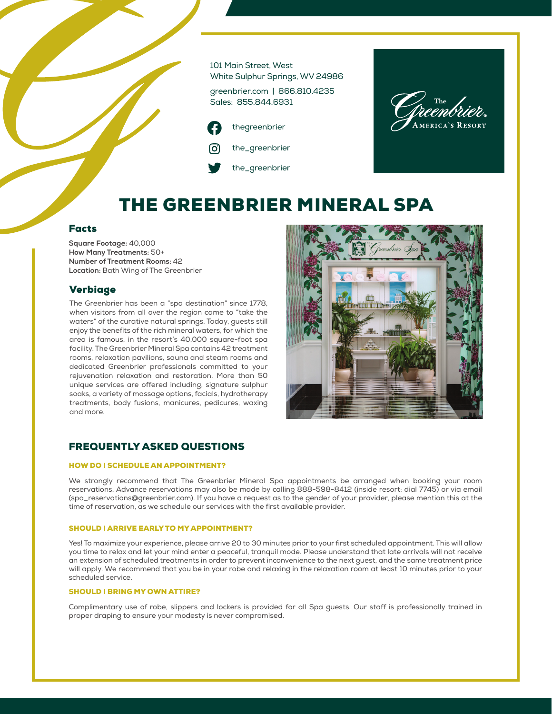101 Main Street, West White Sulphur Springs, WV 24986

greenbrier.com | 866.810.4235 Sales: 855.844.6931



**MERICA'S RESORT** 

# THE GREENBRIER MINERAL SPA

#### Facts

**Square Footage:** 40,000 **How Many Treatments:** 50+ **Number of Treatment Rooms:** 42 **Location:** Bath Wing of The Greenbrier

### Verbiage

The Greenbrier has been a "spa destination" since 1778, when visitors from all over the region came to "take the waters" of the curative natural springs. Today, guests still enjoy the benefits of the rich mineral waters, for which the area is famous, in the resort's 40,000 square-foot spa facility. The Greenbrier Mineral Spa contains 42 treatment rooms, relaxation pavilions, sauna and steam rooms and dedicated Greenbrier professionals committed to your rejuvenation relaxation and restoration. More than 50 unique services are offered including, signature sulphur soaks, a variety of massage options, facials, hydrotherapy treatments, body fusions, manicures, pedicures, waxing and more.



## FREQUENTLY ASKED QUESTIONS

#### HOW DO I SCHEDULE AN APPOINTMENT?

We strongly recommend that The Greenbrier Mineral Spa appointments be arranged when booking your room reservations. Advance reservations may also be made by calling 888-598-8412 (inside resort: dial 7745) or via email (spa\_reservations@greenbrier.com). If you have a request as to the gender of your provider, please mention this at the time of reservation, as we schedule our services with the first available provider.

#### SHOULD I ARRIVE EARLY TO MY APPOINTMENT?

Yes! To maximize your experience, please arrive 20 to 30 minutes prior to your first scheduled appointment. This will allow you time to relax and let your mind enter a peaceful, tranquil mode. Please understand that late arrivals will not receive an extension of scheduled treatments in order to prevent inconvenience to the next guest, and the same treatment price will apply. We recommend that you be in your robe and relaxing in the relaxation room at least 10 minutes prior to your scheduled service.

#### SHOULD I BRING MY OWN ATTIRE?

Complimentary use of robe, slippers and lockers is provided for all Spa guests. Our staff is professionally trained in proper draping to ensure your modesty is never compromised.